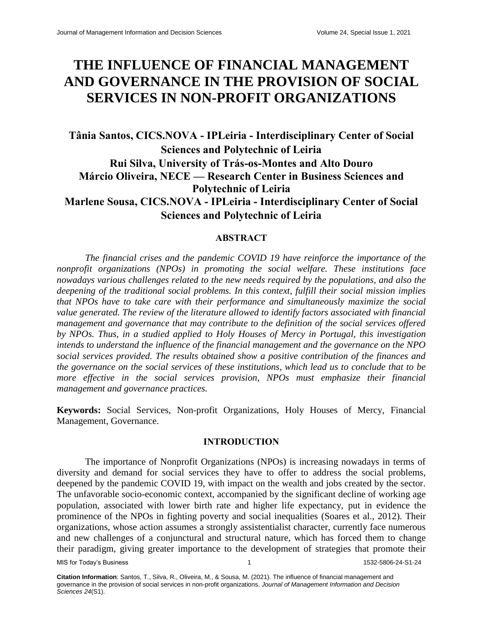# **THE INFLUENCE OF FINANCIAL MANAGEMENT AND GOVERNANCE IN THE PROVISION OF SOCIAL SERVICES IN NON-PROFIT ORGANIZATIONS**

# **Tânia Santos, CICS.NOVA - IPLeiria - Interdisciplinary Center of Social Sciences and Polytechnic of Leiria Rui Silva, University of Trás-os-Montes and Alto Douro Márcio Oliveira, NECE — Research Center in Business Sciences and Polytechnic of Leiria Marlene Sousa, CICS.NOVA - IPLeiria - Interdisciplinary Center of Social Sciences and Polytechnic of Leiria**

# **ABSTRACT**

*The financial crises and the pandemic COVID 19 have reinforce the importance of the nonprofit organizations (NPOs) in promoting the social welfare. These institutions face nowadays various challenges related to the new needs required by the populations, and also the deepening of the traditional social problems. In this context, fulfill their social mission implies that NPOs have to take care with their performance and simultaneously maximize the social value generated. The review of the literature allowed to identify factors associated with financial management and governance that may contribute to the definition of the social services offered by NPOs. Thus, in a studied applied to Holy Houses of Mercy in Portugal, this investigation intends to understand the influence of the financial management and the governance on the NPO social services provided. The results obtained show a positive contribution of the finances and the governance on the social services of these institutions, which lead us to conclude that to be more effective in the social services provision, NPOs must emphasize their financial management and governance practices.*

**Keywords:** Social Services, Non-profit Organizations, Holy Houses of Mercy, Financial Management, Governance.

## **INTRODUCTION**

The importance of Nonprofit Organizations (NPOs) is increasing nowadays in terms of diversity and demand for social services they have to offer to address the social problems, deepened by the pandemic COVID 19, with impact on the wealth and jobs created by the sector. The unfavorable socio-economic context, accompanied by the significant decline of working age population, associated with lower birth rate and higher life expectancy, put in evidence the prominence of the NPOs in fighting poverty and social inequalities (Soares et al., 2012). Their organizations, whose action assumes a strongly assistentialist character, currently face numerous and new challenges of a conjunctural and structural nature, which has forced them to change their paradigm, giving greater importance to the development of strategies that promote their

MIS for Today's Business 1 1532-5806-24-S1-24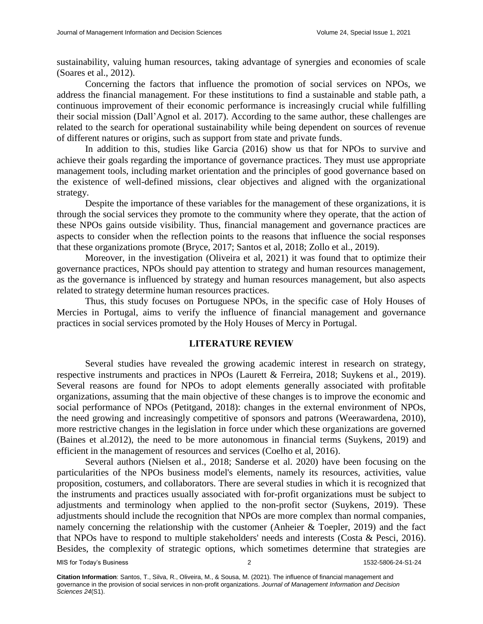sustainability, valuing human resources, taking advantage of synergies and economies of scale (Soares et al., 2012).

Concerning the factors that influence the promotion of social services on NPOs, we address the financial management. For these institutions to find a sustainable and stable path, a continuous improvement of their economic performance is increasingly crucial while fulfilling their social mission (Dall'Agnol et al. 2017). According to the same author, these challenges are related to the search for operational sustainability while being dependent on sources of revenue of different natures or origins, such as support from state and private funds.

In addition to this, studies like Garcia (2016) show us that for NPOs to survive and achieve their goals regarding the importance of governance practices. They must use appropriate management tools, including market orientation and the principles of good governance based on the existence of well-defined missions, clear objectives and aligned with the organizational strategy.

Despite the importance of these variables for the management of these organizations, it is through the social services they promote to the community where they operate, that the action of these NPOs gains outside visibility. Thus, financial management and governance practices are aspects to consider when the reflection points to the reasons that influence the social responses that these organizations promote (Bryce, 2017; Santos et al, 2018; Zollo et al., 2019).

Moreover, in the investigation (Oliveira et al, 2021) it was found that to optimize their governance practices, NPOs should pay attention to strategy and human resources management, as the governance is influenced by strategy and human resources management, but also aspects related to strategy determine human resources practices.

Thus, this study focuses on Portuguese NPOs, in the specific case of Holy Houses of Mercies in Portugal, aims to verify the influence of financial management and governance practices in social services promoted by the Holy Houses of Mercy in Portugal.

# **LITERATURE REVIEW**

Several studies have revealed the growing academic interest in research on strategy, respective instruments and practices in NPOs (Laurett & Ferreira, 2018; Suykens et al., 2019). Several reasons are found for NPOs to adopt elements generally associated with profitable organizations, assuming that the main objective of these changes is to improve the economic and social performance of NPOs (Petitgand, 2018): changes in the external environment of NPOs, the need growing and increasingly competitive of sponsors and patrons (Weerawardena, 2010), more restrictive changes in the legislation in force under which these organizations are governed (Baines et al.2012), the need to be more autonomous in financial terms (Suykens, 2019) and efficient in the management of resources and services (Coelho et al, 2016).

Several authors (Nielsen et al., 2018; Sanderse et al. 2020) have been focusing on the particularities of the NPOs business model's elements, namely its resources, activities, value proposition, costumers, and collaborators. There are several studies in which it is recognized that the instruments and practices usually associated with for-profit organizations must be subject to adjustments and terminology when applied to the non-profit sector (Suykens, 2019). These adjustments should include the recognition that NPOs are more complex than normal companies, namely concerning the relationship with the customer (Anheier & Toepler, 2019) and the fact that NPOs have to respond to multiple stakeholders' needs and interests (Costa & Pesci, 2016). Besides, the complexity of strategic options, which sometimes determine that strategies are

MIS for Today's Business 2 1532-5806-24-S1-24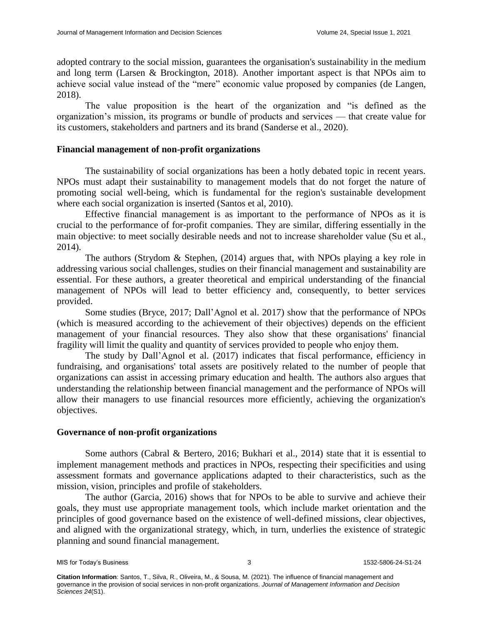adopted contrary to the social mission, guarantees the organisation's sustainability in the medium and long term (Larsen & Brockington, 2018). Another important aspect is that NPOs aim to achieve social value instead of the "mere" economic value proposed by companies (de Langen, 2018).

The value proposition is the heart of the organization and "is defined as the organization's mission, its programs or bundle of products and services — that create value for its customers, stakeholders and partners and its brand (Sanderse et al., 2020).

# **Financial management of non-profit organizations**

The sustainability of social organizations has been a hotly debated topic in recent years. NPOs must adapt their sustainability to management models that do not forget the nature of promoting social well-being, which is fundamental for the region's sustainable development where each social organization is inserted (Santos et al, 2010).

Effective financial management is as important to the performance of NPOs as it is crucial to the performance of for-profit companies. They are similar, differing essentially in the main objective: to meet socially desirable needs and not to increase shareholder value (Su et al., 2014).

The authors (Strydom & Stephen, (2014) argues that, with NPOs playing a key role in addressing various social challenges, studies on their financial management and sustainability are essential. For these authors, a greater theoretical and empirical understanding of the financial management of NPOs will lead to better efficiency and, consequently, to better services provided.

Some studies (Bryce, 2017; Dall'Agnol et al. 2017) show that the performance of NPOs (which is measured according to the achievement of their objectives) depends on the efficient management of your financial resources. They also show that these organisations' financial fragility will limit the quality and quantity of services provided to people who enjoy them.

The study by Dall'Agnol et al. (2017) indicates that fiscal performance, efficiency in fundraising, and organisations' total assets are positively related to the number of people that organizations can assist in accessing primary education and health. The authors also argues that understanding the relationship between financial management and the performance of NPOs will allow their managers to use financial resources more efficiently, achieving the organization's objectives.

# **Governance of non-profit organizations**

Some authors (Cabral & Bertero, 2016; Bukhari et al., 2014) state that it is essential to implement management methods and practices in NPOs, respecting their specificities and using assessment formats and governance applications adapted to their characteristics, such as the mission, vision, principles and profile of stakeholders.

The author (Garcia, 2016) shows that for NPOs to be able to survive and achieve their goals, they must use appropriate management tools, which include market orientation and the principles of good governance based on the existence of well-defined missions, clear objectives, and aligned with the organizational strategy, which, in turn, underlies the existence of strategic planning and sound financial management.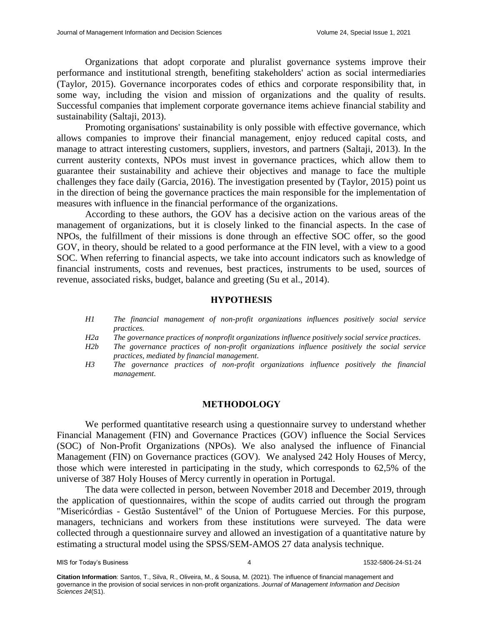Organizations that adopt corporate and pluralist governance systems improve their performance and institutional strength, benefiting stakeholders' action as social intermediaries (Taylor, 2015). Governance incorporates codes of ethics and corporate responsibility that, in some way, including the vision and mission of organizations and the quality of results. Successful companies that implement corporate governance items achieve financial stability and sustainability (Saltaji, 2013).

Promoting organisations' sustainability is only possible with effective governance, which allows companies to improve their financial management, enjoy reduced capital costs, and manage to attract interesting customers, suppliers, investors, and partners (Saltaji, 2013). In the current austerity contexts, NPOs must invest in governance practices, which allow them to guarantee their sustainability and achieve their objectives and manage to face the multiple challenges they face daily (Garcia, 2016). The investigation presented by (Taylor, 2015) point us in the direction of being the governance practices the main responsible for the implementation of measures with influence in the financial performance of the organizations.

According to these authors, the GOV has a decisive action on the various areas of the management of organizations, but it is closely linked to the financial aspects. In the case of NPOs, the fulfillment of their missions is done through an effective SOC offer, so the good GOV, in theory, should be related to a good performance at the FIN level, with a view to a good SOC. When referring to financial aspects, we take into account indicators such as knowledge of financial instruments, costs and revenues, best practices, instruments to be used, sources of revenue, associated risks, budget, balance and greeting (Su et al., 2014).

# **HYPOTHESIS**

*H1 The financial management of non-profit organizations influences positively social service practices.*

*H2a The governance practices of nonprofit organizations influence positively social service practices.*

- *H2b The governance practices of non-profit organizations influence positively the social service practices, mediated by financial management.*
- *H3 The governance practices of non-profit organizations influence positively the financial management.*

#### **METHODOLOGY**

We performed quantitative research using a questionnaire survey to understand whether Financial Management (FIN) and Governance Practices (GOV) influence the Social Services (SOC) of Non-Profit Organizations (NPOs). We also analysed the influence of Financial Management (FIN) on Governance practices (GOV). We analysed 242 Holy Houses of Mercy, those which were interested in participating in the study, which corresponds to 62,5% of the universe of 387 Holy Houses of Mercy currently in operation in Portugal.

The data were collected in person, between November 2018 and December 2019, through the application of questionnaires, within the scope of audits carried out through the program "Misericórdias - Gestão Sustentável" of the Union of Portuguese Mercies. For this purpose, managers, technicians and workers from these institutions were surveyed. The data were collected through a questionnaire survey and allowed an investigation of a quantitative nature by estimating a structural model using the SPSS/SEM-AMOS 27 data analysis technique.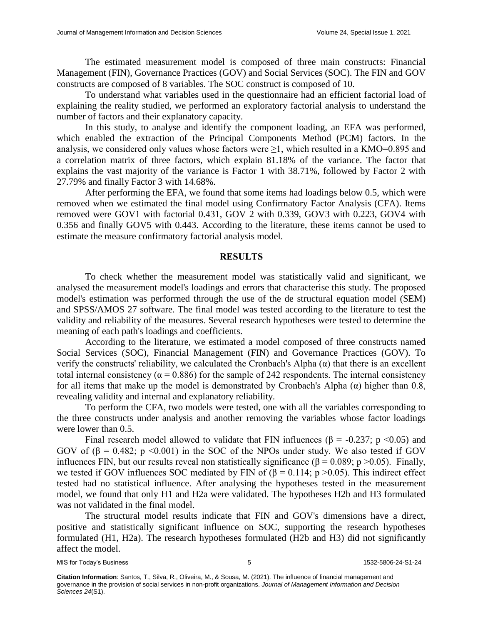The estimated measurement model is composed of three main constructs: Financial Management (FIN), Governance Practices (GOV) and Social Services (SOC). The FIN and GOV constructs are composed of 8 variables. The SOC construct is composed of 10.

To understand what variables used in the questionnaire had an efficient factorial load of explaining the reality studied, we performed an exploratory factorial analysis to understand the number of factors and their explanatory capacity.

In this study, to analyse and identify the component loading, an EFA was performed, which enabled the extraction of the Principal Components Method (PCM) factors. In the analysis, we considered only values whose factors were  $\geq 1$ , which resulted in a KMO=0.895 and a correlation matrix of three factors, which explain 81.18% of the variance. The factor that explains the vast majority of the variance is Factor 1 with 38.71%, followed by Factor 2 with 27.79% and finally Factor 3 with 14.68%.

After performing the EFA, we found that some items had loadings below 0.5, which were removed when we estimated the final model using Confirmatory Factor Analysis (CFA). Items removed were GOV1 with factorial 0.431, GOV 2 with 0.339, GOV3 with 0.223, GOV4 with 0.356 and finally GOV5 with 0.443. According to the literature, these items cannot be used to estimate the measure confirmatory factorial analysis model.

#### **RESULTS**

To check whether the measurement model was statistically valid and significant, we analysed the measurement model's loadings and errors that characterise this study. The proposed model's estimation was performed through the use of the de structural equation model (SEM) and SPSS/AMOS 27 software. The final model was tested according to the literature to test the validity and reliability of the measures. Several research hypotheses were tested to determine the meaning of each path's loadings and coefficients.

According to the literature, we estimated a model composed of three constructs named Social Services (SOC), Financial Management (FIN) and Governance Practices (GOV). To verify the constructs' reliability, we calculated the Cronbach's Alpha (α) that there is an excellent total internal consistency ( $\alpha$  = 0.886) for the sample of 242 respondents. The internal consistency for all items that make up the model is demonstrated by Cronbach's Alpha (α) higher than 0.8, revealing validity and internal and explanatory reliability.

To perform the CFA, two models were tested, one with all the variables corresponding to the three constructs under analysis and another removing the variables whose factor loadings were lower than 0.5.

Final research model allowed to validate that FIN influences ( $\beta$  = -0.237; p <0.05) and GOV of  $(\beta = 0.482; p \le 0.001)$  in the SOC of the NPOs under study. We also tested if GOV influences FIN, but our results reveal non statistically significance (β = 0.089; p > 0.05). Finally, we tested if GOV influences SOC mediated by FIN of  $(\beta = 0.114; p > 0.05)$ . This indirect effect tested had no statistical influence. After analysing the hypotheses tested in the measurement model, we found that only H1 and H2a were validated. The hypotheses H2b and H3 formulated was not validated in the final model.

The structural model results indicate that FIN and GOV's dimensions have a direct, positive and statistically significant influence on SOC, supporting the research hypotheses formulated (H1, H2a). The research hypotheses formulated (H2b and H3) did not significantly affect the model.

MIS for Today's Business **1532-5806-24-S1-24** 1532-5806-24-S1-24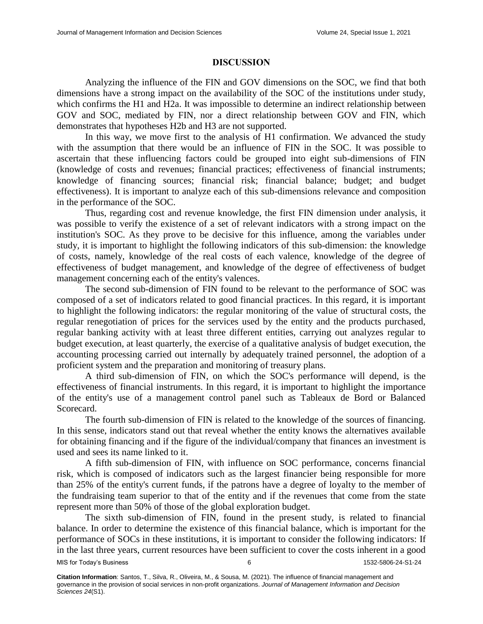#### **DISCUSSION**

Analyzing the influence of the FIN and GOV dimensions on the SOC, we find that both dimensions have a strong impact on the availability of the SOC of the institutions under study, which confirms the H1 and H2a. It was impossible to determine an indirect relationship between GOV and SOC, mediated by FIN, nor a direct relationship between GOV and FIN, which demonstrates that hypotheses H2b and H3 are not supported.

In this way, we move first to the analysis of H1 confirmation. We advanced the study with the assumption that there would be an influence of FIN in the SOC. It was possible to ascertain that these influencing factors could be grouped into eight sub-dimensions of FIN (knowledge of costs and revenues; financial practices; effectiveness of financial instruments; knowledge of financing sources; financial risk; financial balance; budget; and budget effectiveness). It is important to analyze each of this sub-dimensions relevance and composition in the performance of the SOC.

Thus, regarding cost and revenue knowledge, the first FIN dimension under analysis, it was possible to verify the existence of a set of relevant indicators with a strong impact on the institution's SOC. As they prove to be decisive for this influence, among the variables under study, it is important to highlight the following indicators of this sub-dimension: the knowledge of costs, namely, knowledge of the real costs of each valence, knowledge of the degree of effectiveness of budget management, and knowledge of the degree of effectiveness of budget management concerning each of the entity's valences.

The second sub-dimension of FIN found to be relevant to the performance of SOC was composed of a set of indicators related to good financial practices. In this regard, it is important to highlight the following indicators: the regular monitoring of the value of structural costs, the regular renegotiation of prices for the services used by the entity and the products purchased, regular banking activity with at least three different entities, carrying out analyzes regular to budget execution, at least quarterly, the exercise of a qualitative analysis of budget execution, the accounting processing carried out internally by adequately trained personnel, the adoption of a proficient system and the preparation and monitoring of treasury plans.

A third sub-dimension of FIN, on which the SOC's performance will depend, is the effectiveness of financial instruments. In this regard, it is important to highlight the importance of the entity's use of a management control panel such as Tableaux de Bord or Balanced Scorecard.

The fourth sub-dimension of FIN is related to the knowledge of the sources of financing. In this sense, indicators stand out that reveal whether the entity knows the alternatives available for obtaining financing and if the figure of the individual/company that finances an investment is used and sees its name linked to it.

A fifth sub-dimension of FIN, with influence on SOC performance, concerns financial risk, which is composed of indicators such as the largest financier being responsible for more than 25% of the entity's current funds, if the patrons have a degree of loyalty to the member of the fundraising team superior to that of the entity and if the revenues that come from the state represent more than 50% of those of the global exploration budget.

The sixth sub-dimension of FIN, found in the present study, is related to financial balance. In order to determine the existence of this financial balance, which is important for the performance of SOCs in these institutions, it is important to consider the following indicators: If in the last three years, current resources have been sufficient to cover the costs inherent in a good

MIS for Today's Business 6 1532-5806-24-S1-24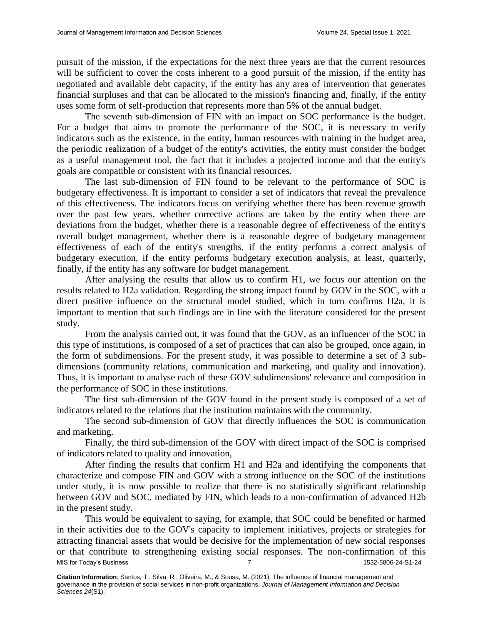pursuit of the mission, if the expectations for the next three years are that the current resources will be sufficient to cover the costs inherent to a good pursuit of the mission, if the entity has negotiated and available debt capacity, if the entity has any area of intervention that generates financial surpluses and that can be allocated to the mission's financing and, finally, if the entity uses some form of self-production that represents more than 5% of the annual budget.

The seventh sub-dimension of FIN with an impact on SOC performance is the budget. For a budget that aims to promote the performance of the SOC, it is necessary to verify indicators such as the existence, in the entity, human resources with training in the budget area, the periodic realization of a budget of the entity's activities, the entity must consider the budget as a useful management tool, the fact that it includes a projected income and that the entity's goals are compatible or consistent with its financial resources.

The last sub-dimension of FIN found to be relevant to the performance of SOC is budgetary effectiveness. It is important to consider a set of indicators that reveal the prevalence of this effectiveness. The indicators focus on verifying whether there has been revenue growth over the past few years, whether corrective actions are taken by the entity when there are deviations from the budget, whether there is a reasonable degree of effectiveness of the entity's overall budget management, whether there is a reasonable degree of budgetary management effectiveness of each of the entity's strengths, if the entity performs a correct analysis of budgetary execution, if the entity performs budgetary execution analysis, at least, quarterly, finally, if the entity has any software for budget management.

After analysing the results that allow us to confirm H1, we focus our attention on the results related to H2a validation. Regarding the strong impact found by GOV in the SOC, with a direct positive influence on the structural model studied, which in turn confirms H2a, it is important to mention that such findings are in line with the literature considered for the present study.

From the analysis carried out, it was found that the GOV, as an influencer of the SOC in this type of institutions, is composed of a set of practices that can also be grouped, once again, in the form of subdimensions. For the present study, it was possible to determine a set of 3 subdimensions (community relations, communication and marketing, and quality and innovation). Thus, it is important to analyse each of these GOV subdimensions' relevance and composition in the performance of SOC in these institutions.

The first sub-dimension of the GOV found in the present study is composed of a set of indicators related to the relations that the institution maintains with the community.

The second sub-dimension of GOV that directly influences the SOC is communication and marketing.

Finally, the third sub-dimension of the GOV with direct impact of the SOC is comprised of indicators related to quality and innovation,

After finding the results that confirm H1 and H2a and identifying the components that characterize and compose FIN and GOV with a strong influence on the SOC of the institutions under study, it is now possible to realize that there is no statistically significant relationship between GOV and SOC, mediated by FIN, which leads to a non-confirmation of advanced H2b in the present study.

MIS for Today's Business 24-S1-24 This would be equivalent to saying, for example, that SOC could be benefited or harmed in their activities due to the GOV's capacity to implement initiatives, projects or strategies for attracting financial assets that would be decisive for the implementation of new social responses or that contribute to strengthening existing social responses. The non-confirmation of this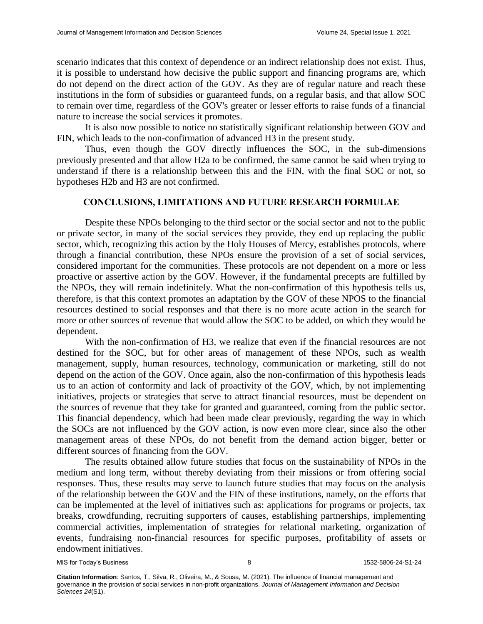scenario indicates that this context of dependence or an indirect relationship does not exist. Thus, it is possible to understand how decisive the public support and financing programs are, which do not depend on the direct action of the GOV. As they are of regular nature and reach these institutions in the form of subsidies or guaranteed funds, on a regular basis, and that allow SOC to remain over time, regardless of the GOV's greater or lesser efforts to raise funds of a financial nature to increase the social services it promotes.

It is also now possible to notice no statistically significant relationship between GOV and FIN, which leads to the non-confirmation of advanced H3 in the present study.

Thus, even though the GOV directly influences the SOC, in the sub-dimensions previously presented and that allow H2a to be confirmed, the same cannot be said when trying to understand if there is a relationship between this and the FIN, with the final SOC or not, so hypotheses H2b and H3 are not confirmed.

# **CONCLUSIONS, LIMITATIONS AND FUTURE RESEARCH FORMULAE**

Despite these NPOs belonging to the third sector or the social sector and not to the public or private sector, in many of the social services they provide, they end up replacing the public sector, which, recognizing this action by the Holy Houses of Mercy, establishes protocols, where through a financial contribution, these NPOs ensure the provision of a set of social services, considered important for the communities. These protocols are not dependent on a more or less proactive or assertive action by the GOV. However, if the fundamental precepts are fulfilled by the NPOs, they will remain indefinitely. What the non-confirmation of this hypothesis tells us, therefore, is that this context promotes an adaptation by the GOV of these NPOS to the financial resources destined to social responses and that there is no more acute action in the search for more or other sources of revenue that would allow the SOC to be added, on which they would be dependent.

With the non-confirmation of H3, we realize that even if the financial resources are not destined for the SOC, but for other areas of management of these NPOs, such as wealth management, supply, human resources, technology, communication or marketing, still do not depend on the action of the GOV. Once again, also the non-confirmation of this hypothesis leads us to an action of conformity and lack of proactivity of the GOV, which, by not implementing initiatives, projects or strategies that serve to attract financial resources, must be dependent on the sources of revenue that they take for granted and guaranteed, coming from the public sector. This financial dependency, which had been made clear previously, regarding the way in which the SOCs are not influenced by the GOV action, is now even more clear, since also the other management areas of these NPOs, do not benefit from the demand action bigger, better or different sources of financing from the GOV.

The results obtained allow future studies that focus on the sustainability of NPOs in the medium and long term, without thereby deviating from their missions or from offering social responses. Thus, these results may serve to launch future studies that may focus on the analysis of the relationship between the GOV and the FIN of these institutions, namely, on the efforts that can be implemented at the level of initiatives such as: applications for programs or projects, tax breaks, crowdfunding, recruiting supporters of causes, establishing partnerships, implementing commercial activities, implementation of strategies for relational marketing, organization of events, fundraising non-financial resources for specific purposes, profitability of assets or endowment initiatives.

MIS for Today's Business **8** 1532-5806-24-S1-24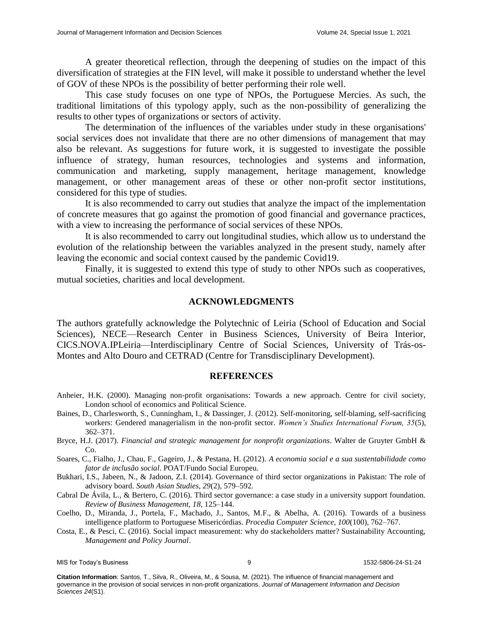A greater theoretical reflection, through the deepening of studies on the impact of this diversification of strategies at the FIN level, will make it possible to understand whether the level of GOV of these NPOs is the possibility of better performing their role well.

This case study focuses on one type of NPOs, the Portuguese Mercies. As such, the traditional limitations of this typology apply, such as the non-possibility of generalizing the results to other types of organizations or sectors of activity.

The determination of the influences of the variables under study in these organisations' social services does not invalidate that there are no other dimensions of management that may also be relevant. As suggestions for future work, it is suggested to investigate the possible influence of strategy, human resources, technologies and systems and information, communication and marketing, supply management, heritage management, knowledge management, or other management areas of these or other non-profit sector institutions, considered for this type of studies.

It is also recommended to carry out studies that analyze the impact of the implementation of concrete measures that go against the promotion of good financial and governance practices, with a view to increasing the performance of social services of these NPOs.

It is also recommended to carry out longitudinal studies, which allow us to understand the evolution of the relationship between the variables analyzed in the present study, namely after leaving the economic and social context caused by the pandemic Covid19.

Finally, it is suggested to extend this type of study to other NPOs such as cooperatives, mutual societies, charities and local development.

#### **ACKNOWLEDGMENTS**

The authors gratefully acknowledge the Polytechnic of Leiria (School of Education and Social Sciences), NECE—Research Center in Business Sciences, University of Beira Interior, CICS.NOVA.IPLeiria—Interdisciplinary Centre of Social Sciences, University of Trás-os-Montes and Alto Douro and CETRAD (Centre for Transdisciplinary Development).

#### **REFERENCES**

- Anheier, H.K. (2000). Managing non-profit organisations: Towards a new approach. Centre for civil society, London school of economics and Political Science.
- Baines, D., Charlesworth, S., Cunningham, I., & Dassinger, J. (2012). Self-monitoring, self-blaming, self-sacrificing workers: Gendered managerialism in the non-profit sector. *Women's Studies International Forum, 35*(5), 362–371.
- Bryce, H.J. (2017). *Financial and strategic management for nonprofit organizations*. Walter de Gruyter GmbH & Co.
- Soares, C., Fialho, J., Chau, F., Gageiro, J., & Pestana, H. (2012). *A economia social e a sua sustentabilidade como fator de inclusão social*. POAT/Fundo Social Europeu.
- Bukhari, I.S., Jabeen, N., & Jadoon, Z.I. (2014). Governance of third sector organizations in Pakistan: The role of advisory board. *South Asian Studies, 29*(2), 579–592.
- Cabral De Ávila, L., & Bertero, C. (2016). Third sector governance: a case study in a university support foundation. *Review of Business Management, 18*, 125–144.
- Coelho, D., Miranda, J., Portela, F., Machado, J., Santos, M.F., & Abelha, A. (2016). Towards of a business intelligence platform to Portuguese Misericórdias. *Procedia Computer Science, 100*(100), 762–767.
- Costa, E., & Pesci, C. (2016). Social impact measurement: why do stackeholders matter? Sustainability Accounting, *Management and Policy Journal*.

MIS for Today's Business **1532-5806-24-S1-24** 9